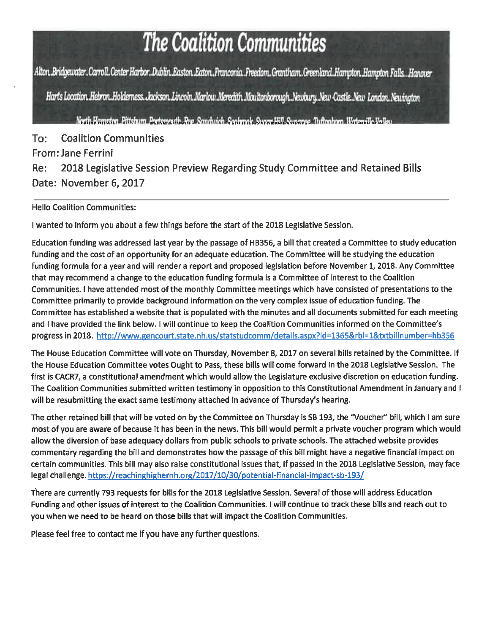# The Coalition Communities

Alton, Bridgewater..Carroll.Center Harbor..Dublin,Easton,Eaton,Franconia..Freedom..Grantham.Greenland,Hampton,Hampton Falls..Hanover

Harts Location. Hebron. Holderness. Jackson. Lincoln. Marlow. Meredith. Moultonborough. Newbury. New Castle. New London. Newington

North Hampton, Pittsburn, Portsmouth, Rue, Sandwich, Sochrock, Sycor, Hill, Sycoroge, Tuftonborn, Waterwille-Valley

 $To:$ **Coalition Communities From: Jane Ferrini** 2018 Legislative Session Preview Regarding Study Committee and Retained Bills Re: Date: November 6, 2017

**Hello Coalition Communities:** 

I wanted to inform you about a few things before the start of the 2018 Legislative Session.

Education funding was addressed last year by the passage of HB356, a bill that created a Committee to study education funding and the cost of an opportunity for an adequate education. The Committee will be studying the education funding formula for a year and will render a report and proposed legislation before November 1, 2018. Any Committee that may recommend a change to the education funding formula is a Committee of interest to the Coalition Communities. I have attended most of the monthly Committee meetings which have consisted of presentations to the Committee primarily to provide background information on the very complex issue of education funding. The Committee has established a website that is populated with the minutes and all documents submitted for each meeting and I have provided the link below. I will continue to keep the Coalition Communities informed on the Committee's progress in 2018. http://www.gencourt.state.nh.us/statstudcomm/details.aspx?id=1365&rbl=1&txtbillnumber=hb356

The House Education Committee will vote on Thursday, November 8, 2017 on several bills retained by the Committee. If the House Education Committee votes Ought to Pass, these bills will come forward in the 2018 Legislative Session. The first is CACR7, a constitutional amendment which would allow the Legislature exclusive discretion on education funding. The Coalition Communities submitted written testimony in opposition to this Constitutional Amendment in January and I will be resubmitting the exact same testimony attached in advance of Thursday's hearing.

The other retained bill that will be voted on by the Committee on Thursday is SB 193, the "Voucher" bill, which I am sure most of you are aware of because it has been in the news. This bill would permit a private voucher program which would allow the diversion of base adequacy dollars from public schools to private schools. The attached website provides commentary regarding the bill and demonstrates how the passage of this bill might have a negative financial impact on certain communities. This bill may also raise constitutional issues that, if passed in the 2018 Legislative Session, may face legal challenge. https://reachinghighernh.org/2017/10/30/potential-financial-impact-sb-193/

There are currently 793 requests for bills for the 2018 Legislative Session. Several of those will address Education Funding and other issues of interest to the Coalition Communities. I will continue to track these bills and reach out to you when we need to be heard on those bills that will impact the Coalition Communities.

Please feel free to contact me if you have any further questions.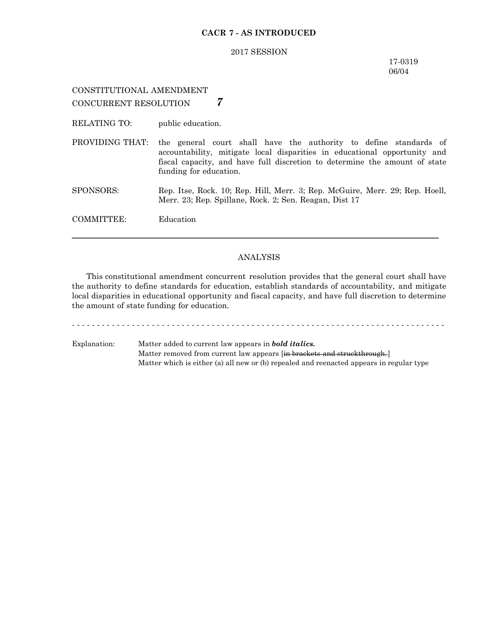#### **CACR 7 - AS INTRODUCED**

#### 2017 SESSION

#### 17-0319 06/04

## CONSTITUTIONAL AMENDMENT CONCURRENT RESOLUTION *7*

RELATING TO: public education.

PROVIDING THAT: the general court shall have the authority to define standards of accountability, mitigate local disparities in educational opportunity and fiscal capacity, and have full discretion to determine the amount of state funding for education.

SPONSORS: Rep. Itse, Rock. 10; Rep. Hill, Merr. 3; Rep. McGuire, Merr. 29; Rep. Hoell, Merr. 23; Rep. Spillane, Rock. 2; Sen. Reagan, Dist 17

COMMITTEE: Education

#### ANALYSIS

─────────────────────────────────────────────────────────────────

This constitutional amendment concurrent resolution provides that the general court shall have the authority to define standards for education, establish standards of accountability, and mitigate local disparities in educational opportunity and fiscal capacity, and have full discretion to determine the amount of state funding for education.

- - - - - - - - - - - - - - - - - - - - - - - - - - - - - - - - - - - - - - - - - - - - - - - - - - - - - - - - - - - - - - - - - - - - - - - - - - -

Explanation: Matter added to current law appears in *bold italics.* Matter removed from current law appears [in brackets and struckthrough.] Matter which is either (a) all new or (b) repealed and reenacted appears in regular type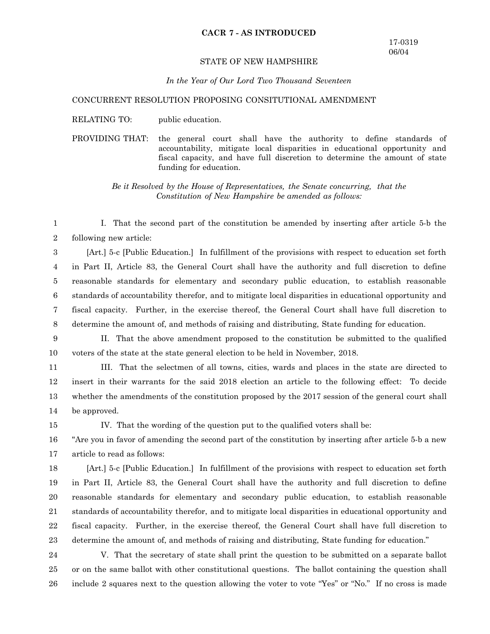#### **CACR 7 - AS INTRODUCED**

#### STATE OF NEW HAMPSHIRE

#### *In the Year of Our Lord Two Thousand Seventeen*

#### CONCURRENT RESOLUTION PROPOSING CONSITUTIONAL AMENDMENT

RELATING TO: public education.

PROVIDING THAT: the general court shall have the authority to define standards of accountability, mitigate local disparities in educational opportunity and fiscal capacity, and have full discretion to determine the amount of state funding for education.

> *Be it Resolved by the House of Representatives, the Senate concurring, that the Constitution of New Hampshire be amended as follows:*

I. That the second part of the constitution be amended by inserting after article 5-b the following new article: 1 2

[Art.] 5-c [Public Education.] In fulfillment of the provisions with respect to education set forth in Part II, Article 83, the General Court shall have the authority and full discretion to define reasonable standards for elementary and secondary public education, to establish reasonable standards of accountability therefor, and to mitigate local disparities in educational opportunity and fiscal capacity. Further, in the exercise thereof, the General Court shall have full discretion to determine the amount of, and methods of raising and distributing, State funding for education. 3 4 5 6 7 8

- II. That the above amendment proposed to the constitution be submitted to the qualified voters of the state at the state general election to be held in November, 2018. 9 10
- 

13

15

III. That the selectmen of all towns, cities, wards and places in the state are directed to insert in their warrants for the said 2018 election an article to the following effect: To decide 11 12

whether the amendments of the constitution proposed by the 2017 session of the general court shall

be approved. 14

IV. That the wording of the question put to the qualified voters shall be:

"Are you in favor of amending the second part of the constitution by inserting after article 5-b a new article to read as follows: 16 17

[Art.] 5-c [Public Education.] In fulfillment of the provisions with respect to education set forth in Part II, Article 83, the General Court shall have the authority and full discretion to define reasonable standards for elementary and secondary public education, to establish reasonable standards of accountability therefor, and to mitigate local disparities in educational opportunity and fiscal capacity. Further, in the exercise thereof, the General Court shall have full discretion to determine the amount of, and methods of raising and distributing, State funding for education." 18 19 20 21 22 23

V. That the secretary of state shall print the question to be submitted on a separate ballot or on the same ballot with other constitutional questions. The ballot containing the question shall include 2 squares next to the question allowing the voter to vote "Yes" or "No." If no cross is made 24 25 26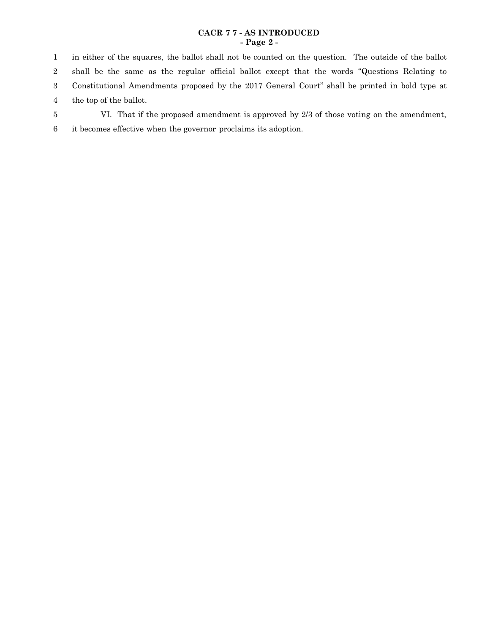## **CACR 7 7 - AS INTRODUCED - Page 2 -**

in either of the squares, the ballot shall not be counted on the question. The outside of the ballot shall be the same as the regular official ballot except that the words "Questions Relating to Constitutional Amendments proposed by the 2017 General Court" shall be printed in bold type at the top of the ballot. 1 2 3 4

- VI. That if the proposed amendment is approved by 2/3 of those voting on the amendment, 5
- it becomes effective when the governor proclaims its adoption. 6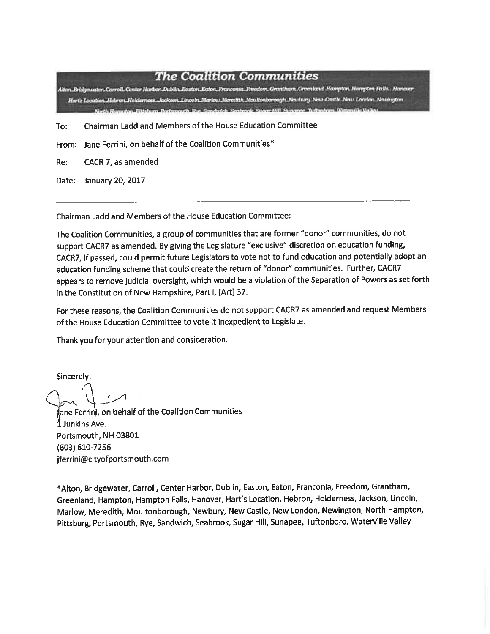# **The Coalition Communities**

Alton Reidgewater Carroll Center Harbor. Dublin Easton Eaton Pranconia. Freedom Grantham Greenkand Hampton Harryton Falls. Hanover Hartz Location, Hebron Holderness Asckson, Lincoby Mariow Meredith Moultonborough, Newlary New Castle, New London, Newington Sacth Harmston, Dittalecen Dartsmarth Rue Sandraich Se

- Chairman Ladd and Members of the House Education Committee To:
- From: Jane Ferrini, on behalf of the Coalition Communities\*
- CACR 7, as amended Re:
- Date: January 20, 2017

Chairman Ladd and Members of the House Education Committee:

The Coalition Communities, a group of communities that are former "donor" communities, do not support CACR7 as amended. By giving the Legislature "exclusive" discretion on education funding, CACR7, if passed, could permit future Legislators to vote not to fund education and potentially adopt an education funding scheme that could create the return of "donor" communities. Further, CACR7 appears to remove judicial oversight, which would be a violation of the Separation of Powers as set forth in the Constitution of New Hampshire, Part I, [Art] 37.

For these reasons, the Coalition Communities do not support CACR7 as amended and request Members of the House Education Committee to vote it Inexpedient to Legislate.

Thank you for your attention and consideration.

Sincerely.

 $\epsilon$ 

ane Ferrini, on behalf of the Coalition Communities I Junkins Ave. Portsmouth, NH 03801 (603) 610-7256 jferrini@cityofportsmouth.com

\*Alton, Bridgewater, Carroll, Center Harbor, Dublin, Easton, Eaton, Franconia, Freedom, Grantham, Greenland, Hampton, Hampton Falls, Hanover, Hart's Location, Hebron, Holderness, Jackson, Lincoln, Marlow, Meredith, Moultonborough, Newbury, New Castle, New London, Newington, North Hampton, Pittsburg, Portsmouth, Rye, Sandwich, Seabrook, Sugar Hill, Sunapee, Tuftonboro, Waterville Valley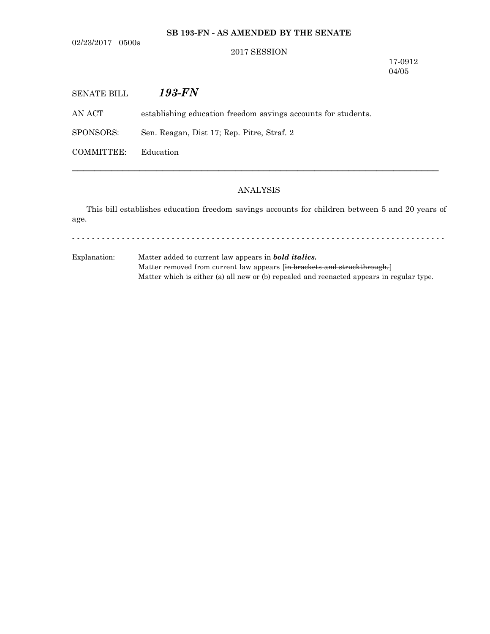## **SB 193-FN - AS AMENDED BY THE SENATE**

02/23/2017 0500s

### 2017 SESSION

17-0912 04/05

| SENATE BILL | 193-FN                                                        |
|-------------|---------------------------------------------------------------|
| AN ACT -    | establishing education freedom savings accounts for students. |
| SPONSORS:   | Sen. Reagan, Dist 17; Rep. Pitre, Straf. 2                    |
| COMMITTEE:  | Education                                                     |

# ANALYSIS

─────────────────────────────────────────────────────────────────

This bill establishes education freedom savings accounts for children between 5 and 20 years of age.

- - - - - - - - - - - - - - - - - - - - - - - - - - - - - - - - - - - - - - - - - - - - - - - - - - - - - - - - - - - - - - - - - - - - - - - - - - -

Explanation: Matter added to current law appears in *bold italics.* Matter removed from current law appears [in brackets and struckthrough.] Matter which is either (a) all new or (b) repealed and reenacted appears in regular type.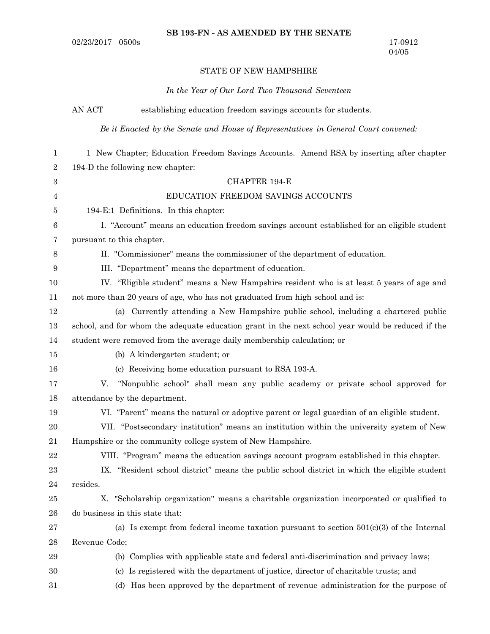## STATE OF NEW HAMPSHIRE

# *In the Year of Our Lord Two Thousand Seventeen*

|                  | AN ACT        | establishing education freedom savings accounts for students.                                     |
|------------------|---------------|---------------------------------------------------------------------------------------------------|
|                  |               | Be it Enacted by the Senate and House of Representatives in General Court convened:               |
| $\mathbf{1}$     |               | 1 New Chapter; Education Freedom Savings Accounts. Amend RSA by inserting after chapter           |
| $\sqrt{2}$       |               | 194-D the following new chapter:                                                                  |
| $\,3$            |               | <b>CHAPTER 194-E</b>                                                                              |
| 4                |               | EDUCATION FREEDOM SAVINGS ACCOUNTS                                                                |
| 5                |               | 194-E:1 Definitions. In this chapter:                                                             |
| 6                |               | I. "Account" means an education freedom savings account established for an eligible student       |
| 7                |               | pursuant to this chapter.                                                                         |
| 8                |               | II. "Commissioner" means the commissioner of the department of education.                         |
| $\boldsymbol{9}$ |               | III. "Department" means the department of education.                                              |
| 10               |               | IV. "Eligible student" means a New Hampshire resident who is at least 5 years of age and          |
| 11               |               | not more than 20 years of age, who has not graduated from high school and is:                     |
| 12               |               | (a) Currently attending a New Hampshire public school, including a chartered public               |
| 13               |               | school, and for whom the adequate education grant in the next school year would be reduced if the |
| 14               |               | student were removed from the average daily membership calculation; or                            |
| 15               |               | (b) A kindergarten student; or                                                                    |
| 16               |               | (c) Receiving home education pursuant to RSA 193-A.                                               |
| 17               | V.            | "Nonpublic school" shall mean any public academy or private school approved for                   |
| 18               |               | attendance by the department.                                                                     |
| 19               |               | VI. "Parent" means the natural or adoptive parent or legal guardian of an eligible student.       |
| 20               |               | VII. "Postsecondary institution" means an institution within the university system of New         |
| 21               |               | Hampshire or the community college system of New Hampshire.                                       |
| 22               |               | VIII. "Program" means the education savings account program established in this chapter.          |
| 23               |               | IX. "Resident school district" means the public school district in which the eligible student     |
| 24               | resides.      |                                                                                                   |
| 25               |               | X. "Scholarship organization" means a charitable organization incorporated or qualified to        |
| ${\bf 26}$       |               | do business in this state that:                                                                   |
| $\sqrt{27}$      |               | (a) Is exempt from federal income taxation pursuant to section $501(c)(3)$ of the Internal        |
| $\bf 28$         | Revenue Code; |                                                                                                   |
| $\bf 29$         |               | (b) Complies with applicable state and federal anti-discrimination and privacy laws;              |
| 30               |               | (c) Is registered with the department of justice, director of charitable trusts; and              |
| 31               |               | (d) Has been approved by the department of revenue administration for the purpose of              |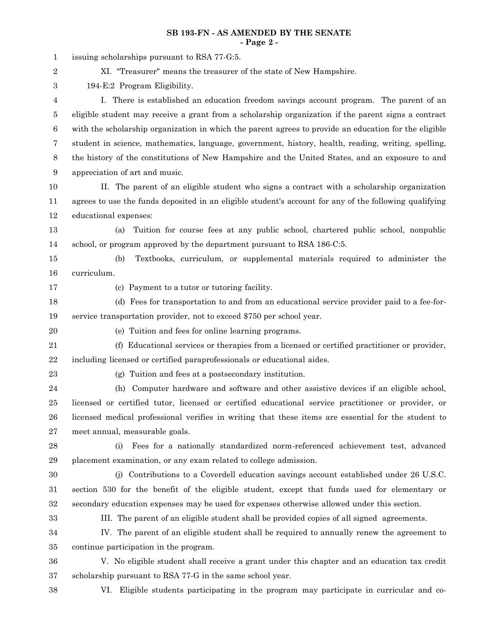## **SB 193-FN - AS AMENDED BY THE SENATE - Page 2 -**

| $\mathbf{1}$     | issuing scholarships pursuant to RSA 77-G.5.                                                           |
|------------------|--------------------------------------------------------------------------------------------------------|
| 2                | XI. "Treasurer" means the treasurer of the state of New Hampshire.                                     |
| $\boldsymbol{3}$ | 194-E:2 Program Eligibility.                                                                           |
| 4                | I. There is established an education freedom savings account program. The parent of an                 |
| 5                | eligible student may receive a grant from a scholarship organization if the parent signs a contract    |
| $\,6\,$          | with the scholarship organization in which the parent agrees to provide an education for the eligible  |
| 7                | student in science, mathematics, language, government, history, health, reading, writing, spelling,    |
| $8\,$            | the history of the constitutions of New Hampshire and the United States, and an exposure to and        |
| 9                | appreciation of art and music.                                                                         |
| 10               | II. The parent of an eligible student who signs a contract with a scholarship organization             |
| 11               | agrees to use the funds deposited in an eligible student's account for any of the following qualifying |
| 12               | educational expenses:                                                                                  |
| 13               | Tuition for course fees at any public school, chartered public school, nonpublic<br>(a)                |
| 14               | school, or program approved by the department pursuant to RSA 186-C:5.                                 |
| 15               | Textbooks, curriculum, or supplemental materials required to administer the<br>(b)                     |
| 16               | curriculum.                                                                                            |
| 17               | (c) Payment to a tutor or tutoring facility.                                                           |
| 18               | (d) Fees for transportation to and from an educational service provider paid to a fee-for-             |
| 19               | service transportation provider, not to exceed \$750 per school year.                                  |
| 20               | (e) Tuition and fees for online learning programs.                                                     |
| 21               | (f) Educational services or therapies from a licensed or certified practitioner or provider,           |
| 22               | including licensed or certified paraprofessionals or educational aides.                                |
| 23               | (g) Tuition and fees at a postsecondary institution.                                                   |
| $\bf{24}$        | Computer hardware and software and other assistive devices if an eligible school,<br>(h)               |
| 25               | licensed or certified tutor, licensed or certified educational service practitioner or provider, or    |
| 26               | licensed medical professional verifies in writing that these items are essential for the student to    |
| 27               | meet annual, measurable goals.                                                                         |
| 28               | Fees for a nationally standardized norm-referenced achievement test, advanced<br>(i)                   |
| 29               | placement examination, or any exam related to college admission.                                       |
| 30               | (j) Contributions to a Coverdell education savings account established under 26 U.S.C.                 |
| 31               | section 530 for the benefit of the eligible student, except that funds used for elementary or          |
| 32               | secondary education expenses may be used for expenses otherwise allowed under this section.            |
| 33               | III. The parent of an eligible student shall be provided copies of all signed agreements.              |
| 34               | IV. The parent of an eligible student shall be required to annually renew the agreement to             |
| 35               | continue participation in the program.                                                                 |
| 36               | V. No eligible student shall receive a grant under this chapter and an education tax credit            |
| 37               | scholarship pursuant to RSA 77-G in the same school year.                                              |

38

VI. Eligible students participating in the program may participate in curricular and co-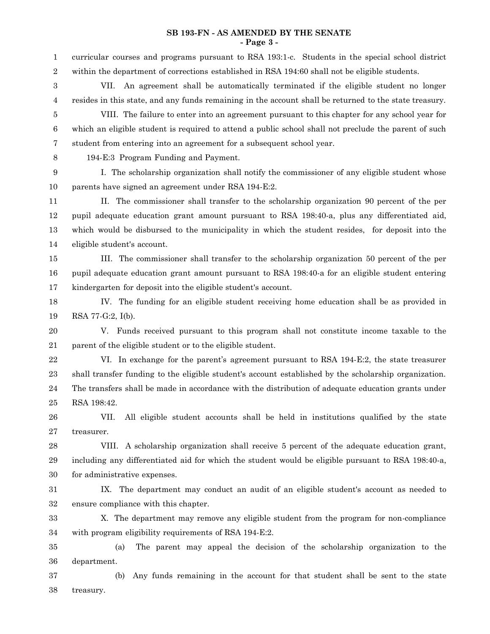#### **SB 193-FN - AS AMENDED BY THE SENATE - Page 3 -**

curricular courses and programs pursuant to RSA 193:1-c. Students in the special school district within the department of corrections established in RSA 194:60 shall not be eligible students. 1 2

VII. An agreement shall be automatically terminated if the eligible student no longer resides in this state, and any funds remaining in the account shall be returned to the state treasury. 3 4

VIII. The failure to enter into an agreement pursuant to this chapter for any school year for which an eligible student is required to attend a public school shall not preclude the parent of such student from entering into an agreement for a subsequent school year. 5 6 7

8

194-E:3 Program Funding and Payment.

I. The scholarship organization shall notify the commissioner of any eligible student whose parents have signed an agreement under RSA 194-E:2. 9 10

II. The commissioner shall transfer to the scholarship organization 90 percent of the per pupil adequate education grant amount pursuant to RSA 198:40-a, plus any differentiated aid, which would be disbursed to the municipality in which the student resides, for deposit into the eligible student's account. 11 12 13 14

III. The commissioner shall transfer to the scholarship organization 50 percent of the per pupil adequate education grant amount pursuant to RSA 198:40-a for an eligible student entering kindergarten for deposit into the eligible student's account. 15 16 17

IV. The funding for an eligible student receiving home education shall be as provided in RSA 77-G:2, I(b). 18 19

V. Funds received pursuant to this program shall not constitute income taxable to the parent of the eligible student or to the eligible student. 20 21

VI. In exchange for the parent's agreement pursuant to RSA 194-E:2, the state treasurer shall transfer funding to the eligible student's account established by the scholarship organization. The transfers shall be made in accordance with the distribution of adequate education grants under RSA 198:42. 22 23 24 25

VII. All eligible student accounts shall be held in institutions qualified by the state treasurer. 26 27

VIII. A scholarship organization shall receive 5 percent of the adequate education grant, including any differentiated aid for which the student would be eligible pursuant to RSA 198:40-a, for administrative expenses. 28 29 30

IX. The department may conduct an audit of an eligible student's account as needed to ensure compliance with this chapter. 31 32

X. The department may remove any eligible student from the program for non-compliance with program eligibility requirements of RSA 194-E:2. 33 34

(a) The parent may appeal the decision of the scholarship organization to the department. 35 36

(b) Any funds remaining in the account for that student shall be sent to the state treasury. 37 38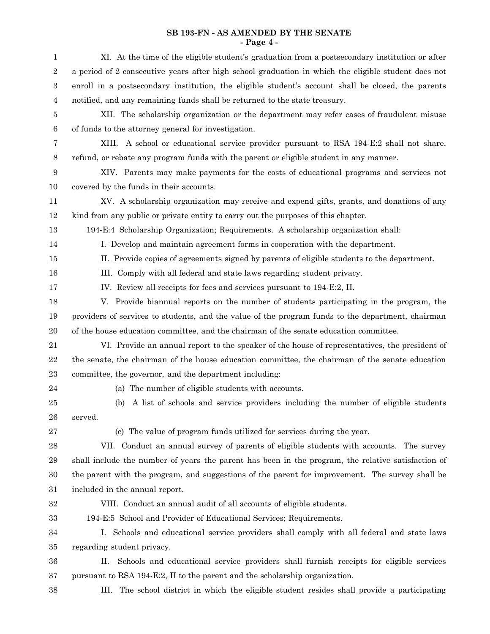## **SB 193-FN - AS AMENDED BY THE SENATE - Page 4 -**

| $\mathbf{1}$     | XI. At the time of the eligible student's graduation from a postsecondary institution or after      |
|------------------|-----------------------------------------------------------------------------------------------------|
| $\boldsymbol{2}$ | a period of 2 consecutive years after high school graduation in which the eligible student does not |
| 3                | enroll in a postsecondary institution, the eligible student's account shall be closed, the parents  |
| $\overline{4}$   | notified, and any remaining funds shall be returned to the state treasury.                          |
| 5                | XII. The scholarship organization or the department may refer cases of fraudulent misuse            |
| 6                | of funds to the attorney general for investigation.                                                 |
| 7                | XIII. A school or educational service provider pursuant to RSA 194-E:2 shall not share,             |
| 8                | refund, or rebate any program funds with the parent or eligible student in any manner.              |
| $\boldsymbol{9}$ | XIV. Parents may make payments for the costs of educational programs and services not               |
| 10               | covered by the funds in their accounts.                                                             |
| 11               | XV. A scholarship organization may receive and expend gifts, grants, and donations of any           |
| 12               | kind from any public or private entity to carry out the purposes of this chapter.                   |
| 13               | 194-E:4 Scholarship Organization; Requirements. A scholarship organization shall:                   |
| 14               | I. Develop and maintain agreement forms in cooperation with the department.                         |
| 15               | II. Provide copies of agreements signed by parents of eligible students to the department.          |
| 16               | III. Comply with all federal and state laws regarding student privacy.                              |
| 17               | IV. Review all receipts for fees and services pursuant to 194-E:2, II.                              |
| 18               | V. Provide biannual reports on the number of students participating in the program, the             |
| 19               | providers of services to students, and the value of the program funds to the department, chairman   |
| 20               | of the house education committee, and the chairman of the senate education committee.               |
| 21               | VI. Provide an annual report to the speaker of the house of representatives, the president of       |
| $\bf 22$         | the senate, the chairman of the house education committee, the chairman of the senate education     |
| 23               | committee, the governor, and the department including:                                              |
| 24               | (a) The number of eligible students with accounts.                                                  |
| 25               | (b) A list of schools and service providers including the number of eligible students               |
| 26               | served.                                                                                             |
| 27               | (c) The value of program funds utilized for services during the year.                               |
| 28               | VII. Conduct an annual survey of parents of eligible students with accounts. The survey             |
| 29               | shall include the number of years the parent has been in the program, the relative satisfaction of  |
| 30               | the parent with the program, and suggestions of the parent for improvement. The survey shall be     |
| 31               | included in the annual report.                                                                      |
| 32               | VIII. Conduct an annual audit of all accounts of eligible students.                                 |
| 33               | 194-E:5 School and Provider of Educational Services; Requirements.                                  |
| 34               | I. Schools and educational service providers shall comply with all federal and state laws           |
| 35               | regarding student privacy.                                                                          |
| 36               | Schools and educational service providers shall furnish receipts for eligible services<br>П.        |
| 37               | pursuant to RSA 194-E:2, II to the parent and the scholarship organization.                         |
| 38               | The school district in which the eligible student resides shall provide a participating<br>Ш.       |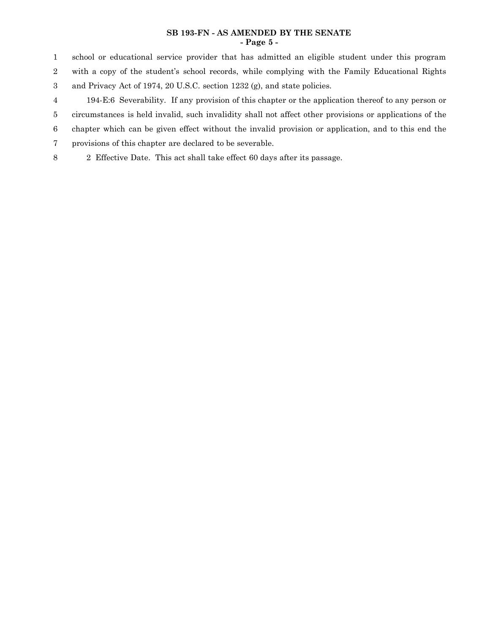## **SB 193-FN - AS AMENDED BY THE SENATE - Page 5 -**

school or educational service provider that has admitted an eligible student under this program with a copy of the student's school records, while complying with the Family Educational Rights 1 2

and Privacy Act of 1974, 20 U.S.C. section 1232 (g), and state policies. 3

194-E:6 Severability. If any provision of this chapter or the application thereof to any person or circumstances is held invalid, such invalidity shall not affect other provisions or applications of the chapter which can be given effect without the invalid provision or application, and to this end the 4 5 6

provisions of this chapter are declared to be severable. 7

2 Effective Date. This act shall take effect 60 days after its passage. 8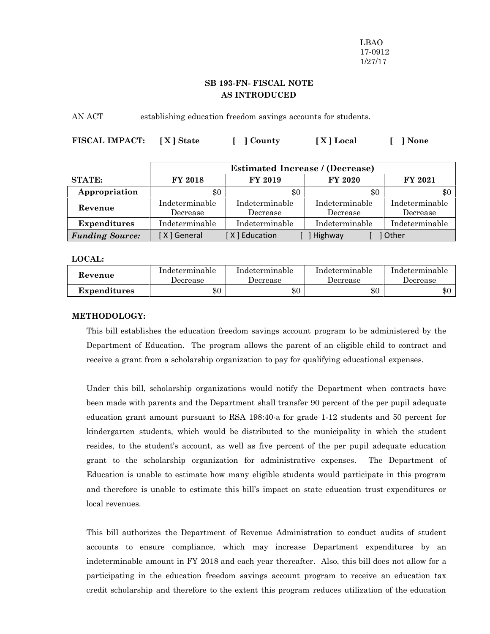LBAO 17-0912 1/27/17

# **SB 193-FN- FISCAL NOTE AS INTRODUCED**

AN ACT establishing education freedom savings accounts for students.

| <b>FISCAL IMPACT:</b><br>[X] State | [ ] County | [X] Local | [ ] None |
|------------------------------------|------------|-----------|----------|
|------------------------------------|------------|-----------|----------|

|                                                  | <b>Estimated Increase / (Decrease)</b> |                |                |                |
|--------------------------------------------------|----------------------------------------|----------------|----------------|----------------|
| <b>STATE:</b>                                    | <b>FY 2018</b>                         | FY 2019        | <b>FY 2020</b> | FY 2021        |
| Appropriation                                    | \$0                                    | \$0            | \$0            | \$0            |
| Revenue                                          | Indeterminable                         | Indeterminable | Indeterminable | Indeterminable |
|                                                  | Decrease                               | Decrease       | Decrease       | Decrease       |
| Expenditures<br>Indeterminable<br>Indeterminable |                                        | Indeterminable | Indeterminable |                |
| <b>Funding Source:</b>                           | [X] General                            | [X] Education  | Highway        | Other          |

**LOCAL:**

| Revenue      | Indeterminable | Indeterminable | Indeterminable | Indeterminable |
|--------------|----------------|----------------|----------------|----------------|
|              | Decrease       | Decrease       | Decrease       | Decrease       |
| Expenditures | $\$0$          | \$0            | $\$0$          | \$0            |

#### **METHODOLOGY:**

This bill establishes the education freedom savings account program to be administered by the Department of Education. The program allows the parent of an eligible child to contract and receive a grant from a scholarship organization to pay for qualifying educational expenses.

Under this bill, scholarship organizations would notify the Department when contracts have been made with parents and the Department shall transfer 90 percent of the per pupil adequate education grant amount pursuant to RSA 198:40-a for grade 1-12 students and 50 percent for kindergarten students, which would be distributed to the municipality in which the student resides, to the student's account, as well as five percent of the per pupil adequate education grant to the scholarship organization for administrative expenses. The Department of Education is unable to estimate how many eligible students would participate in this program and therefore is unable to estimate this bill's impact on state education trust expenditures or local revenues.

This bill authorizes the Department of Revenue Administration to conduct audits of student accounts to ensure compliance, which may increase Department expenditures by an indeterminable amount in FY 2018 and each year thereafter. Also, this bill does not allow for a participating in the education freedom savings account program to receive an education tax credit scholarship and therefore to the extent this program reduces utilization of the education